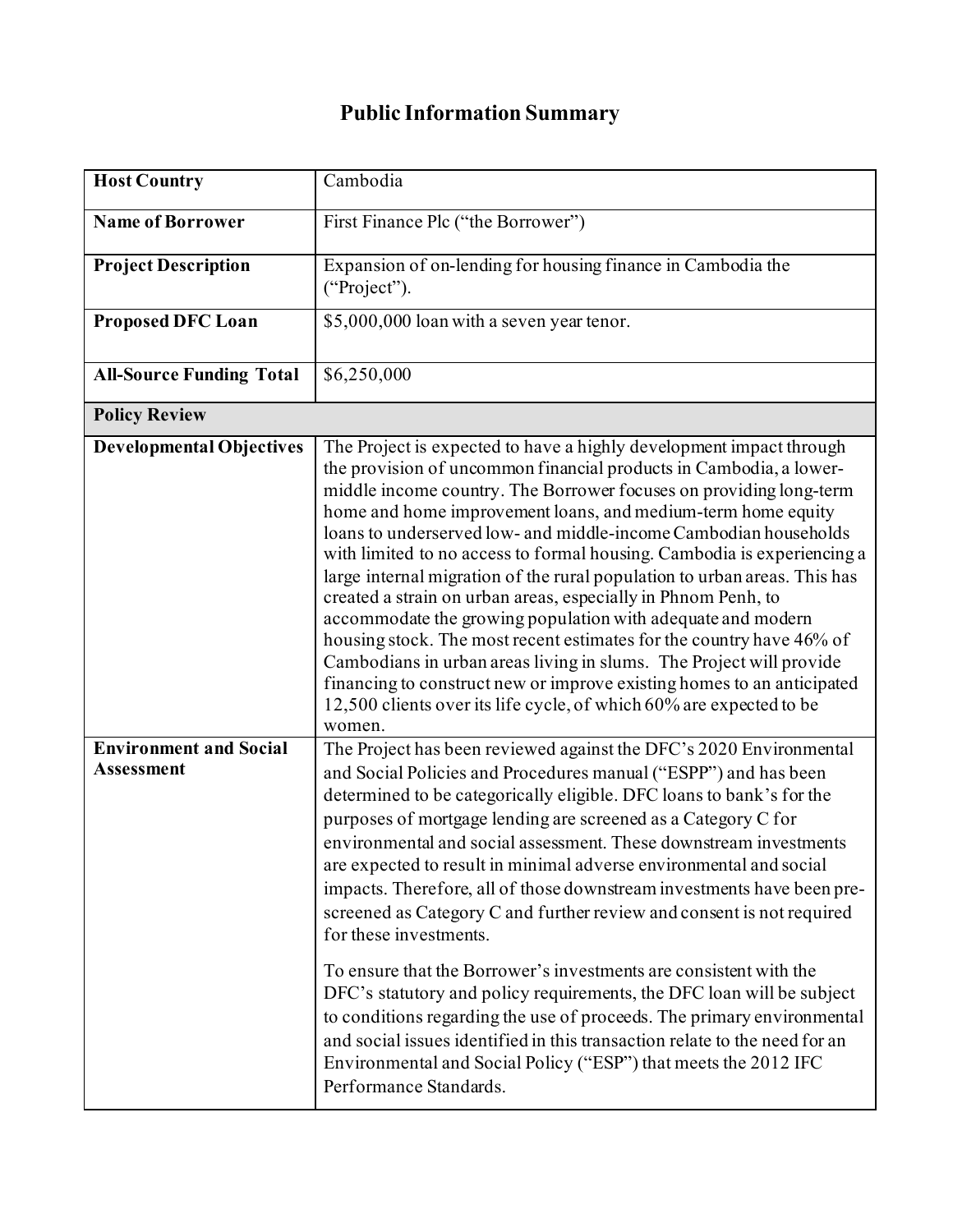## **Public Information Summary**

| <b>Host Country</b>                         | Cambodia                                                                                                                                                                                                                                                                                                                                                                                                                                                                                                                                                                                                                                                                                                                                                                                                                                                                                                                                                                                                  |
|---------------------------------------------|-----------------------------------------------------------------------------------------------------------------------------------------------------------------------------------------------------------------------------------------------------------------------------------------------------------------------------------------------------------------------------------------------------------------------------------------------------------------------------------------------------------------------------------------------------------------------------------------------------------------------------------------------------------------------------------------------------------------------------------------------------------------------------------------------------------------------------------------------------------------------------------------------------------------------------------------------------------------------------------------------------------|
| <b>Name of Borrower</b>                     | First Finance Plc ("the Borrower")                                                                                                                                                                                                                                                                                                                                                                                                                                                                                                                                                                                                                                                                                                                                                                                                                                                                                                                                                                        |
| <b>Project Description</b>                  | Expansion of on-lending for housing finance in Cambodia the<br>("Project").                                                                                                                                                                                                                                                                                                                                                                                                                                                                                                                                                                                                                                                                                                                                                                                                                                                                                                                               |
| <b>Proposed DFC Loan</b>                    | \$5,000,000 loan with a seven year tenor.                                                                                                                                                                                                                                                                                                                                                                                                                                                                                                                                                                                                                                                                                                                                                                                                                                                                                                                                                                 |
| <b>All-Source Funding Total</b>             | \$6,250,000                                                                                                                                                                                                                                                                                                                                                                                                                                                                                                                                                                                                                                                                                                                                                                                                                                                                                                                                                                                               |
| <b>Policy Review</b>                        |                                                                                                                                                                                                                                                                                                                                                                                                                                                                                                                                                                                                                                                                                                                                                                                                                                                                                                                                                                                                           |
| <b>Developmental Objectives</b>             | The Project is expected to have a highly development impact through<br>the provision of uncommon financial products in Cambodia, a lower-<br>middle income country. The Borrower focuses on providing long-term<br>home and home improvement loans, and medium-term home equity<br>loans to underserved low- and middle-income Cambodian households<br>with limited to no access to formal housing. Cambodia is experiencing a<br>large internal migration of the rural population to urban areas. This has<br>created a strain on urban areas, especially in Phnom Penh, to<br>accommodate the growing population with adequate and modern<br>housing stock. The most recent estimates for the country have 46% of<br>Cambodians in urban areas living in slums. The Project will provide<br>financing to construct new or improve existing homes to an anticipated<br>12,500 clients over its life cycle, of which 60% are expected to be<br>women.                                                     |
| <b>Environment and Social</b><br>Assessment | The Project has been reviewed against the DFC's 2020 Environmental<br>and Social Policies and Procedures manual ("ESPP") and has been<br>determined to be categorically eligible. DFC loans to bank's for the<br>purposes of mortgage lending are screened as a Category C for<br>environmental and social assessment. These downstream investments<br>are expected to result in minimal adverse environmental and social<br>impacts. Therefore, all of those downstream investments have been pre-<br>screened as Category C and further review and consent is not required<br>for these investments.<br>To ensure that the Borrower's investments are consistent with the<br>DFC's statutory and policy requirements, the DFC loan will be subject<br>to conditions regarding the use of proceeds. The primary environmental<br>and social issues identified in this transaction relate to the need for an<br>Environmental and Social Policy ("ESP") that meets the 2012 IFC<br>Performance Standards. |